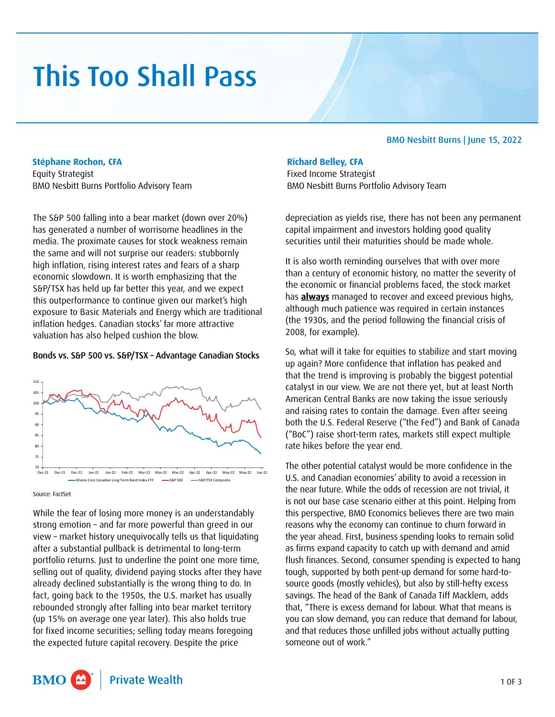# This Too Shall Pass

#### **Stéphane Rochon, CFA**

Equity Strategist BMO Nesbitt Burns Portfolio Advisory Team

The S&P 500 falling into a bear market (down over 20%) has generated a number of worrisome headlines in the media. The proximate causes for stock weakness remain the same and will not surprise our readers: stubbornly high inflation, rising interest rates and fears of a sharp economic slowdown. It is worth emphasizing that the S&P/TSX has held up far better this year, and we expect this outperformance to continue given our market's high exposure to Basic Materials and Energy which are traditional inflation hedges. Canadian stocks' far more attractive valuation has also helped cushion the blow.

### Bonds vs. S&P 500 vs. S&P/TSX – Advantage Canadian Stocks



Source: FactSet

While the fear of losing more money is an understandably strong emotion – and far more powerful than greed in our view – market history unequivocally tells us that liquidating after a substantial pullback is detrimental to long-term portfolio returns. Just to underline the point one more time, selling out of quality, dividend paying stocks after they have already declined substantially is the wrong thing to do. In fact, going back to the 1950s, the U.S. market has usually rebounded strongly after falling into bear market territory (up 15% on average one year later). This also holds true for fixed income securities; selling today means foregoing the expected future capital recovery. Despite the price

## BMO Nesbitt Burns | June 15, 2022

## **Richard Belley, CFA**

Fixed Income Strategist BMO Nesbitt Burns Portfolio Advisory Team

depreciation as yields rise, there has not been any permanent capital impairment and investors holding good quality securities until their maturities should be made whole.

It is also worth reminding ourselves that with over more than a century of economic history, no matter the severity of the economic or financial problems faced, the stock market has **always** managed to recover and exceed previous highs, although much patience was required in certain instances (the 1930s, and the period following the financial crisis of 2008, for example).

So, what will it take for equities to stabilize and start moving up again? More confidence that inflation has peaked and that the trend is improving is probably the biggest potential catalyst in our view. We are not there yet, but at least North American Central Banks are now taking the issue seriously and raising rates to contain the damage. Even after seeing both the U.S. Federal Reserve ("the Fed") and Bank of Canada ("BoC") raise short-term rates, markets still expect multiple rate hikes before the year end.

The other potential catalyst would be more confidence in the U.S. and Canadian economies' ability to avoid a recession in the near future. While the odds of recession are not trivial, it is not our base case scenario either at this point. Helping from this perspective, BMO Economics believes there are two main reasons why the economy can continue to churn forward in the year ahead. First, business spending looks to remain solid as firms expand capacity to catch up with demand and amid flush finances. Second, consumer spending is expected to hang tough, supported by both pent-up demand for some hard-tosource goods (mostly vehicles), but also by still-hefty excess savings. The head of the Bank of Canada Tiff Macklem, adds that, "There is excess demand for labour. What that means is you can slow demand, you can reduce that demand for labour, and that reduces those unfilled jobs without actually putting someone out of work."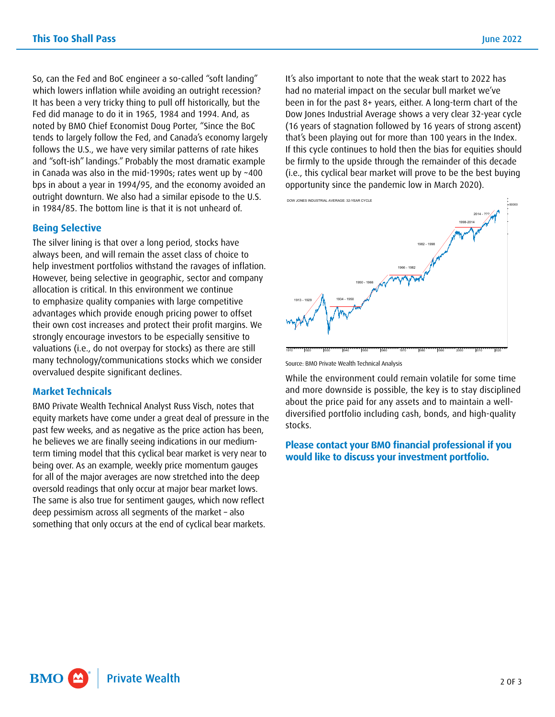So, can the Fed and BoC engineer a so-called "soft landing" which lowers inflation while avoiding an outright recession? It has been a very tricky thing to pull off historically, but the Fed did manage to do it in 1965, 1984 and 1994. And, as noted by BMO Chief Economist Doug Porter, "Since the BoC tends to largely follow the Fed, and Canada's economy largely follows the U.S., we have very similar patterns of rate hikes and "soft-ish" landings." Probably the most dramatic example in Canada was also in the mid-1990s; rates went up by ~400 bps in about a year in 1994/95, and the economy avoided an outright downturn. We also had a similar episode to the U.S. in 1984/85. The bottom line is that it is not unheard of.

#### **Being Selective**

The silver lining is that over a long period, stocks have always been, and will remain the asset class of choice to help investment portfolios withstand the ravages of inflation. However, being selective in geographic, sector and company allocation is critical. In this environment we continue to emphasize quality companies with large competitive advantages which provide enough pricing power to offset their own cost increases and protect their profit margins. We strongly encourage investors to be especially sensitive to valuations (i.e., do not overpay for stocks) as there are still many technology/communications stocks which we consider overvalued despite significant declines.

#### **Market Technicals**

BMO Private Wealth Technical Analyst Russ Visch, notes that equity markets have come under a great deal of pressure in the past few weeks, and as negative as the price action has been, he believes we are finally seeing indications in our mediumterm timing model that this cyclical bear market is very near to being over. As an example, weekly price momentum gauges for all of the major averages are now stretched into the deep oversold readings that only occur at major bear market lows. The same is also true for sentiment gauges, which now reflect deep pessimism across all segments of the market – also something that only occurs at the end of cyclical bear markets.

It's also important to note that the weak start to 2022 has had no material impact on the secular bull market we've been in for the past 8+ years, either. A long-term chart of the Dow Jones Industrial Average shows a very clear 32-year cycle (16 years of stagnation followed by 16 years of strong ascent) that's been playing out for more than 100 years in the Index. If this cycle continues to hold then the bias for equities should be firmly to the upside through the remainder of this decade (i.e., this cyclical bear market will prove to be the best buying opportunity since the pandemic low in March 2020).



Source: BMO Private Wealth Technical Analysis

While the environment could remain volatile for some time and more downside is possible, the key is to stay disciplined about the price paid for any assets and to maintain a welldiversified portfolio including cash, bonds, and high-quality stocks.

**Please contact your BMO financial professional if you would like to discuss your investment portfolio.**